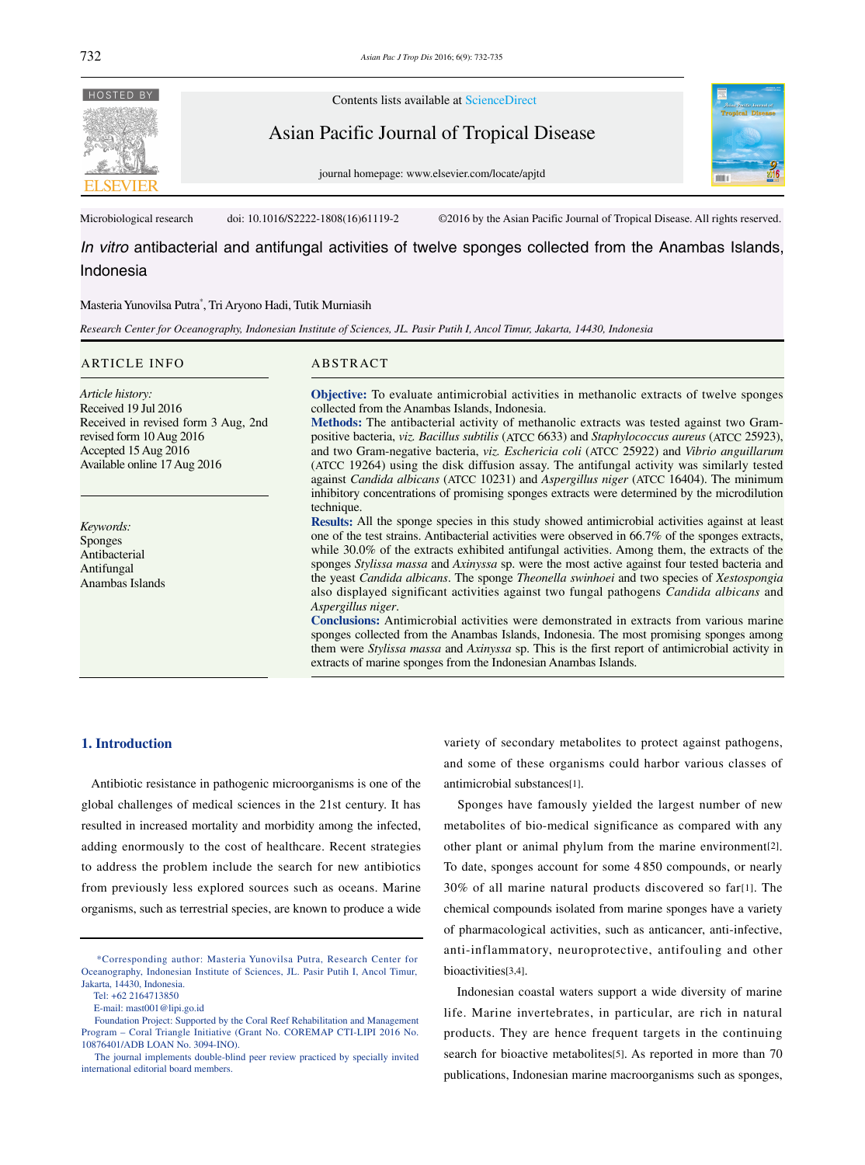

*In vitro* antibacterial and antifungal activities of twelve sponges collected from the Anambas Islands, Indonesia

## Masteria Yunovilsa Putra\* , Tri Aryono Hadi, Tutik Murniasih

*Research Center for Oceanography, Indonesian Institute of Sciences, JL. Pasir Putih I, Ancol Timur, Jakarta, 14430, Indonesia*

#### ARTICLE INFO ABSTRACT

*Article history:* Received 19 Jul 2016 Received in revised form 3 Aug, 2nd revised form 10 Aug 2016 Accepted 15 Aug 2016 Available online 17 Aug 2016

*Keywords:* Sponges Antibacterial Antifungal Anambas Islands

**Objective:** To evaluate antimicrobial activities in methanolic extracts of twelve sponges collected from the Anambas Islands, Indonesia.

**Methods:** The antibacterial activity of methanolic extracts was tested against two Grampositive bacteria, *viz. Bacillus subtilis* (ATCC 6633) and *Staphylococcus aureus* (ATCC 25923), and two Gram-negative bacteria, *viz. Eschericia coli* (ATCC 25922) and *Vibrio anguillarum*  (ATCC 19264) using the disk diffusion assay. The antifungal activity was similarly tested against *Candida albicans* (ATCC 10231) and *Aspergillus niger* (ATCC 16404). The minimum inhibitory concentrations of promising sponges extracts were determined by the microdilution technique.

**Results:** All the sponge species in this study showed antimicrobial activities against at least one of the test strains. Antibacterial activities were observed in 66.7% of the sponges extracts, while 30.0% of the extracts exhibited antifungal activities. Among them, the extracts of the sponges *Stylissa massa* and *Axinyssa* sp. were the most active against four tested bacteria and the yeast *Candida albicans*. The sponge *Theonella swinhoei* and two species of *Xestospongia* also displayed significant activities against two fungal pathogens *Candida albicans* and *Aspergillus niger*.

**Conclusions:** Antimicrobial activities were demonstrated in extracts from various marine sponges collected from the Anambas Islands, Indonesia. The most promising sponges among them were *Stylissa massa* and *Axinyssa* sp. This is the first report of antimicrobial activity in extracts of marine sponges from the Indonesian Anambas Islands.

## **1. Introduction**

 Antibiotic resistance in pathogenic microorganisms is one of the global challenges of medical sciences in the 21st century. It has resulted in increased mortality and morbidity among the infected, adding enormously to the cost of healthcare. Recent strategies to address the problem include the search for new antibiotics from previously less explored sources such as oceans. Marine organisms, such as terrestrial species, are known to produce a wide variety of secondary metabolites to protect against pathogens, and some of these organisms could harbor various classes of antimicrobial substances[1].

 Sponges have famously yielded the largest number of new metabolites of bio-medical significance as compared with any other plant or animal phylum from the marine environment[2]. To date, sponges account for some 4 850 compounds, or nearly 30% of all marine natural products discovered so far[1]. The chemical compounds isolated from marine sponges have a variety of pharmacological activities, such as anticancer, anti-infective, anti-inflammatory, neuroprotective, antifouling and other bioactivities[3,4].

 Indonesian coastal waters support a wide diversity of marine life. Marine invertebrates, in particular, are rich in natural products. They are hence frequent targets in the continuing search for bioactive metabolites[5]. As reported in more than 70 publications, Indonesian marine macroorganisms such as sponges,

 <sup>\*</sup>Corresponding author: Masteria Yunovilsa Putra, Research Center for Oceanography, Indonesian Institute of Sciences, JL. Pasir Putih I, Ancol Timur, Jakarta, 14430, Indonesia.

Tel: +62 2164713850

E-mail: mast001@lipi.go.id

Foundation Project: Supported by the Coral Reef Rehabilitation and Management Program – Coral Triangle Initiative (Grant No. COREMAP CTI-LIPI 2016 No. 10876401/ADB LOAN No. 3094-INO).

The journal implements double-blind peer review practiced by specially invited international editorial board members.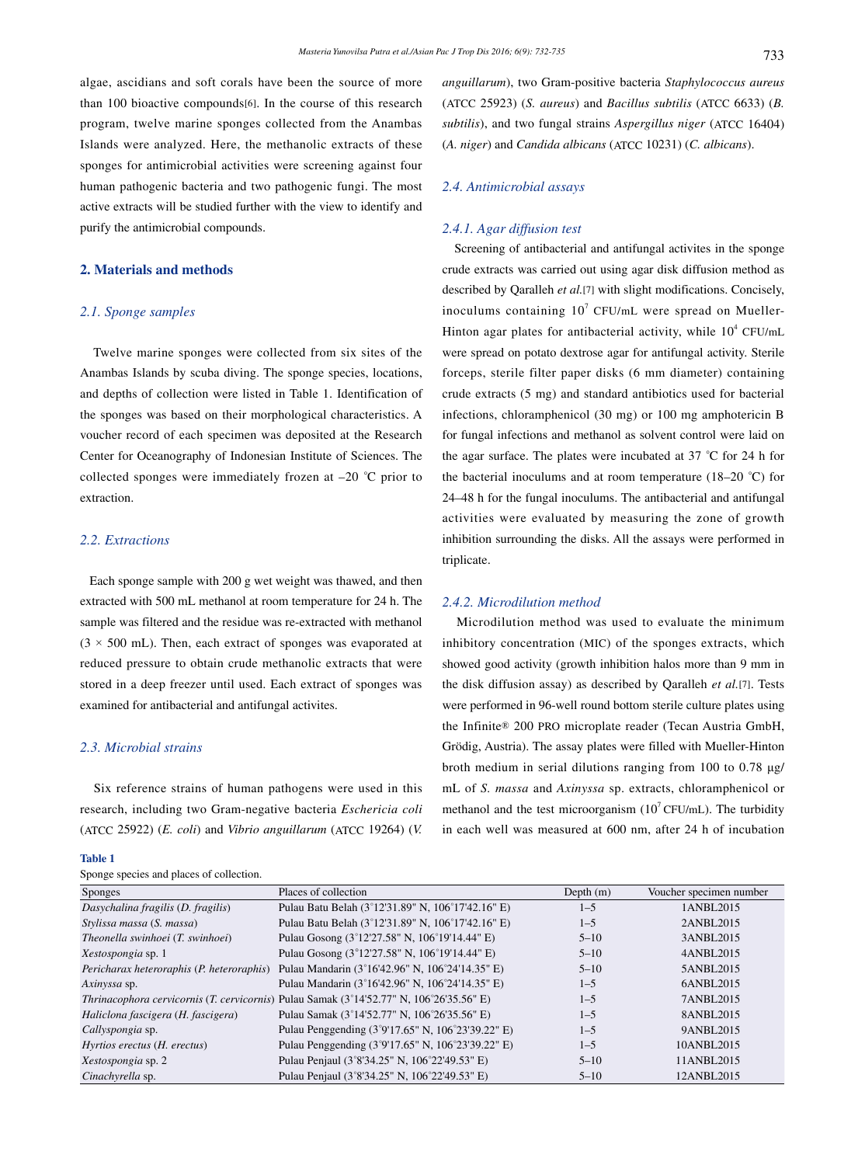algae, ascidians and soft corals have been the source of more than 100 bioactive compounds[6]. In the course of this research program, twelve marine sponges collected from the Anambas Islands were analyzed. Here, the methanolic extracts of these sponges for antimicrobial activities were screening against four human pathogenic bacteria and two pathogenic fungi. The most active extracts will be studied further with the view to identify and purify the antimicrobial compounds.

## **2. Materials and methods**

## *2.1. Sponge samples*

 Twelve marine sponges were collected from six sites of the Anambas Islands by scuba diving. The sponge species, locations, and depths of collection were listed in Table 1. Identification of the sponges was based on their morphological characteristics. A voucher record of each specimen was deposited at the Research Center for Oceanography of Indonesian Institute of Sciences. The collected sponges were immediately frozen at –20 *°*C prior to extraction.

## *2.2. Extractions*

 Each sponge sample with 200 g wet weight was thawed, and then extracted with 500 mL methanol at room temperature for 24 h. The sample was filtered and the residue was re-extracted with methanol  $(3 \times 500 \text{ mL})$ . Then, each extract of sponges was evaporated at reduced pressure to obtain crude methanolic extracts that were stored in a deep freezer until used. Each extract of sponges was examined for antibacterial and antifungal activites.

# *2.3. Microbial strains*

 Six reference strains of human pathogens were used in this research, including two Gram-negative bacteria *Eschericia coli*  (ATCC 25922) (*E. coli*) and *Vibrio anguillarum* (ATCC 19264) (*V.* 

#### **Table 1**

Sponge species and places of collection.

*anguillarum*), two Gram-positive bacteria *Staphylococcus aureus* (ATCC 25923) (*S. aureus*) and *Bacillus subtilis* (ATCC 6633) (*B. subtilis*), and two fungal strains *Aspergillus niger* (ATCC 16404) (*A. niger*) and *Candida albicans* (ATCC 10231) (*C. albicans*).

# *2.4. Antimicrobial assays*

### *2.4.1. Agar diffusion test*

 Screening of antibacterial and antifungal activites in the sponge crude extracts was carried out using agar disk diffusion method as described by Qaralleh *et al.*[7] with slight modifications. Concisely, inoculums containing  $10^7$  CFU/mL were spread on Mueller-Hinton agar plates for antibacterial activity, while  $10^4$  CFU/mL were spread on potato dextrose agar for antifungal activity. Sterile forceps, sterile filter paper disks (6 mm diameter) containing crude extracts (5 mg) and standard antibiotics used for bacterial infections, chloramphenicol (30 mg) or 100 mg amphotericin B for fungal infections and methanol as solvent control were laid on the agar surface. The plates were incubated at 37 *°*C for 24 h for the bacterial inoculums and at room temperature (18–20 *°*C) for 24–48 h for the fungal inoculums. The antibacterial and antifungal activities were evaluated by measuring the zone of growth inhibition surrounding the disks. All the assays were performed in triplicate.

# *2.4.2. Microdilution method*

 Microdilution method was used to evaluate the minimum inhibitory concentration (MIC) of the sponges extracts, which showed good activity (growth inhibition halos more than 9 mm in the disk diffusion assay) as described by Qaralleh *et al.*[7]. Tests were performed in 96-well round bottom sterile culture plates using the Infinite® 200 PRO microplate reader (Tecan Austria GmbH, Grödig, Austria). The assay plates were filled with Mueller-Hinton broth medium in serial dilutions ranging from 100 to 0.78 μg/ mL of *S. massa* and *Axinyssa* sp. extracts, chloramphenicol or methanol and the test microorganism  $(10^7 \text{CFU/mL})$ . The turbidity in each well was measured at 600 nm, after 24 h of incubation

| <b>Sponges</b>                             | Places of collection                              | Depth $(m)$ | Voucher specimen number |
|--------------------------------------------|---------------------------------------------------|-------------|-------------------------|
| Dasychalina fragilis (D. fragilis)         | Pulau Batu Belah (3°12'31.89" N, 106°17'42.16" E) | $1 - 5$     | 1ANBL2015               |
| Stylissa massa (S. massa)                  | Pulau Batu Belah (3°12'31.89" N, 106°17'42.16" E) | $1 - 5$     | 2ANBL2015               |
| Theonella swinhoei (T. swinhoei)           | Pulau Gosong (3°12'27.58" N, 106°19'14.44" E)     | $5 - 10$    | 3ANBL2015               |
| Xestospongia sp. 1                         | Pulau Gosong (3°12'27.58" N, 106°19'14.44" E)     | $5 - 10$    | 4ANBL2015               |
| Pericharax heteroraphis (P. heteroraphis)  | Pulau Mandarin (3°16'42.96" N, 106°24'14.35" E)   | $5 - 10$    | 5ANBL2015               |
| Axinyssa sp.                               | Pulau Mandarin (3°16'42.96" N, 106°24'14.35" E)   | $1 - 5$     | 6ANBL2015               |
| Thrinacophora cervicornis (T. cervicornis) | Pulau Samak (3°14'52.77" N, 106°26'35.56" E)      | $1 - 5$     | 7ANBL2015               |
| Haliclona fascigera (H. fascigera)         | Pulau Samak (3°14'52.77" N, 106°26'35.56" E)      | $1 - 5$     | 8ANBL2015               |
| Callyspongia sp.                           | Pulau Penggending (3°9'17.65" N, 106°23'39.22" E) | $1 - 5$     | 9ANBL2015               |
| Hyrtios erectus (H. erectus)               | Pulau Penggending (3°9'17.65" N, 106°23'39.22" E) | $1 - 5$     | 10ANBL2015              |
| <i>Xestospongia</i> sp. 2                  | Pulau Penjaul (3°8'34.25" N, 106°22'49.53" E)     | $5 - 10$    | 11ANBL2015              |
| Cinachyrella sp.                           | Pulau Penjaul (3°8'34.25" N, 106°22'49.53" E)     | $5 - 10$    | 12ANBL2015              |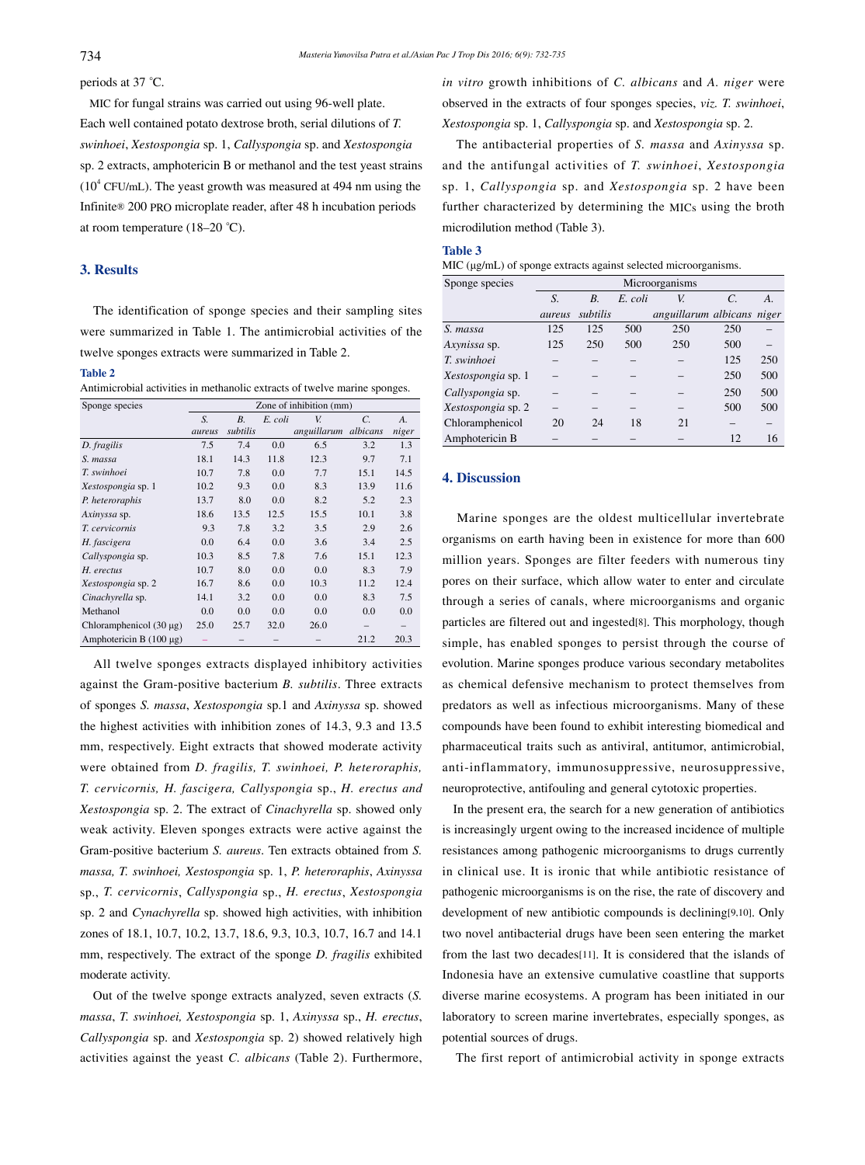periods at 37 *°*C.

 MIC for fungal strains was carried out using 96-well plate. Each well contained potato dextrose broth, serial dilutions of *T. swinhoei*, *Xestospongia* sp. 1, *Callyspongia* sp. and *Xestospongia*  sp. 2 extracts, amphotericin B or methanol and the test yeast strains  $(10^4 \text{ CFU/mL})$ . The yeast growth was measured at 494 nm using the Infinite® 200 PRO microplate reader, after 48 h incubation periods at room temperature (18–20 *°*C).

## **3. Results**

 The identification of sponge species and their sampling sites were summarized in Table 1. The antimicrobial activities of the twelve sponges extracts were summarized in Table 2.

#### **Table 2**

Antimicrobial activities in methanolic extracts of twelve marine sponges.

| Sponge species               | Zone of inhibition (mm) |           |         |             |                 |       |
|------------------------------|-------------------------|-----------|---------|-------------|-----------------|-------|
|                              | S.                      | <b>B.</b> | E. coli | V.          | $\mathcal{C}$ . | A.    |
|                              | aureus                  | subtilis  |         | anguillarum | albicans        | niger |
| D. fragilis                  | 7.5                     | 7.4       | 0.0     | 6.5         | 3.2             | 1.3   |
| S. massa                     | 18.1                    | 14.3      | 11.8    | 12.3        | 9.7             | 7.1   |
| T. swinhoei                  | 10.7                    | 7.8       | 0.0     | 7.7         | 15.1            | 14.5  |
| <i>Xestospongia</i> sp. 1    | 10.2                    | 9.3       | 0.0     | 8.3         | 13.9            | 11.6  |
| P. heteroraphis              | 13.7                    | 8.0       | 0.0     | 8.2         | 5.2             | 2.3   |
| Axinyssa sp.                 | 18.6                    | 13.5      | 12.5    | 15.5        | 10.1            | 3.8   |
| T. cervicornis               | 9.3                     | 7.8       | 3.2     | 3.5         | 2.9             | 2.6   |
| H. fascigera                 | 0.0                     | 6.4       | 0.0     | 3.6         | 3.4             | 2.5   |
| Callyspongia sp.             | 10.3                    | 8.5       | 7.8     | 7.6         | 15.1            | 12.3  |
| H. erectus                   | 10.7                    | 8.0       | 0.0     | 0.0         | 8.3             | 7.9   |
| Xestospongia sp. 2           | 16.7                    | 8.6       | 0.0     | 10.3        | 11.2            | 12.4  |
| Cinachyrella sp.             | 14.1                    | 3.2       | 0.0     | 0.0         | 8.3             | 7.5   |
| Methanol                     | 0.0                     | 0.0       | 0.0     | 0.0         | 0.0             | 0.0   |
| Chloramphenicol $(30 \mu g)$ | 25.0                    | 25.7      | 32.0    | 26.0        |                 |       |
| Amphotericin B $(100 \mu g)$ |                         |           |         |             | 21.2            | 20.3  |

 All twelve sponges extracts displayed inhibitory activities against the Gram-positive bacterium *B. subtilis*. Three extracts of sponges *S. massa*, *Xestospongia* sp.1 and *Axinyssa* sp. showed the highest activities with inhibition zones of 14.3, 9.3 and 13.5 mm, respectively. Eight extracts that showed moderate activity were obtained from *D. fragilis, T. swinhoei, P. heteroraphis, T. cervicornis, H. fascigera, Callyspongia* sp., *H. erectus and Xestospongia* sp. 2. The extract of *Cinachyrella* sp. showed only weak activity. Eleven sponges extracts were active against the Gram-positive bacterium *S. aureus*. Ten extracts obtained from *S. massa, T. swinhoei, Xestospongia* sp. 1, *P. heteroraphis*, *Axinyssa*  sp., *T. cervicornis*, *Callyspongia* sp., *H. erectus*, *Xestospongia*  sp. 2 and *Cynachyrella* sp. showed high activities, with inhibition zones of 18.1, 10.7, 10.2, 13.7, 18.6, 9.3, 10.3, 10.7, 16.7 and 14.1 mm, respectively. The extract of the sponge *D. fragilis* exhibited moderate activity.

 Out of the twelve sponge extracts analyzed, seven extracts (*S. massa*, *T. swinhoei, Xestospongia* sp. 1, *Axinyssa* sp., *H. erectus*, *Callyspongia* sp. and *Xestospongia* sp. 2) showed relatively high activities against the yeast *C. albicans* (Table 2). Furthermore, *in vitro* growth inhibitions of *C. albicans* and *A. niger* were observed in the extracts of four sponges species, *viz. T. swinhoei*, *Xestospongia* sp. 1, *Callyspongia* sp. and *Xestospongia* sp. 2.

 The antibacterial properties of *S. massa* and *Axinyssa* sp. and the antifungal activities of *T. swinhoei*, *Xestospongia* sp. 1, *Callyspongia* sp. and *Xestospongia* sp. 2 have been further characterized by determining the MICs using the broth microdilution method (Table 3).

### **Table 3**

| MIC (µg/mL) of sponge extracts against selected microorganisms. |  |  |  |
|-----------------------------------------------------------------|--|--|--|
|                                                                 |  |  |  |

| Sponge species     | Microorganisms |          |         |                            |               |     |
|--------------------|----------------|----------|---------|----------------------------|---------------|-----|
|                    | S.             | $B$ .    | E. coli | V.                         | $\mathcal{C}$ | A.  |
|                    | aureus         | subtilis |         | anguillarum albicans niger |               |     |
| S. massa           | 125            | 125      | 500     | 250                        | 250           |     |
| Axynissa sp.       | 125            | 250      | 500     | 250                        | 500           |     |
| T. swinhoei        |                |          |         |                            | 125           | 250 |
| Xestospongia sp. 1 |                |          |         |                            | 250           | 500 |
| Callyspongia sp.   |                |          |         |                            | 250           | 500 |
| Xestospongia sp. 2 |                |          |         |                            | 500           | 500 |
| Chloramphenicol    | 20             | 24       | 18      | 21                         |               |     |
| Amphotericin B     |                |          |         |                            | 12            | 16  |

#### **4. Discussion**

 Marine sponges are the oldest multicellular invertebrate organisms on earth having been in existence for more than 600 million years. Sponges are filter feeders with numerous tiny pores on their surface, which allow water to enter and circulate through a series of canals, where microorganisms and organic particles are filtered out and ingested[8]. This morphology, though simple, has enabled sponges to persist through the course of evolution. Marine sponges produce various secondary metabolites as chemical defensive mechanism to protect themselves from predators as well as infectious microorganisms. Many of these compounds have been found to exhibit interesting biomedical and pharmaceutical traits such as antiviral, antitumor, antimicrobial, anti-inflammatory, immunosuppressive, neurosuppressive, neuroprotective, antifouling and general cytotoxic properties.

 In the present era, the search for a new generation of antibiotics is increasingly urgent owing to the increased incidence of multiple resistances among pathogenic microorganisms to drugs currently in clinical use. It is ironic that while antibiotic resistance of pathogenic microorganisms is on the rise, the rate of discovery and development of new antibiotic compounds is declining[9,10]. Only two novel antibacterial drugs have been seen entering the market from the last two decades[11]. It is considered that the islands of Indonesia have an extensive cumulative coastline that supports diverse marine ecosystems. A program has been initiated in our laboratory to screen marine invertebrates, especially sponges, as potential sources of drugs.

The first report of antimicrobial activity in sponge extracts